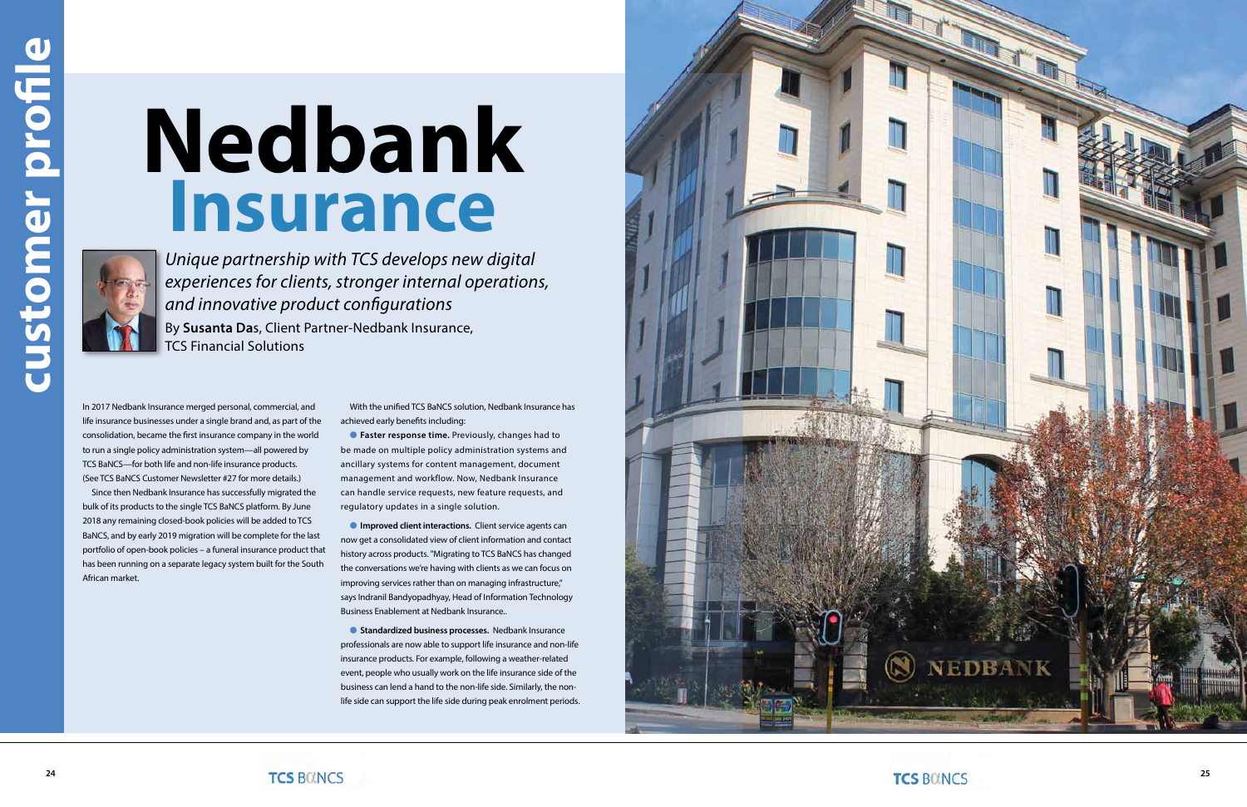In 2017 Nedbank Insurance merged personal, commercial, and life insurance businesses under a single brand and, as part of the consolidation, became the first insurance company in the world to run a single policy administration system—all powered by TCS BaNCS—for both life and non-life insurance products. (See TCS BaNCS Customer Newsletter #27 for more details.)

Since then Nedbank Insurance has successfully migrated the bulk of its products to the single TCS BaNCS platform. By June 2018 any remaining closed-book policies will be added to TCS BaNCS, and by early 2019 migration will be complete for the last portfolio of open-book policies – a funeral insurance product that has been running on a separate legacy system built for the South African market.

**C** Faster response time. Previously, changes had to be made on multiple policy administration systems and ancillary systems for content management, document management and workflow. Now, Nedbank Insurance can handle service requests, new feature requests, and regulatory updates in a single solution.

**Improved client interactions.** Client service agents can now get a consolidated view of client information and contact history across products. "Migrating to TCS BaNCS has changed the conversations we're having with clients as we can focus on improving services rather than on managing infrastructure," says Indranil Bandyopadhyay, Head of Information Technology Business Enablement at Nedbank Insurance..

With the unified TCS BaNCS solution, Nedbank Insurance has achieved early benefits including:

**C** Standardized business processes. Nedbank Insurance professionals are now able to support life insurance and non-life insurance products. For example, following a weather-related event, people who usually work on the life insurance side of the business can lend a hand to the non-life side. Similarly, the nonlife side can support the life side during peak enrolment periods.





*Unique partnership with TCS develops new digital experiences for clients, stronger internal operations, and innovative product configurations* By **Susanta Da**s, Client Partner-Nedbank Insurance, TCS Financial Solutions

# **Nedbank Insurance**